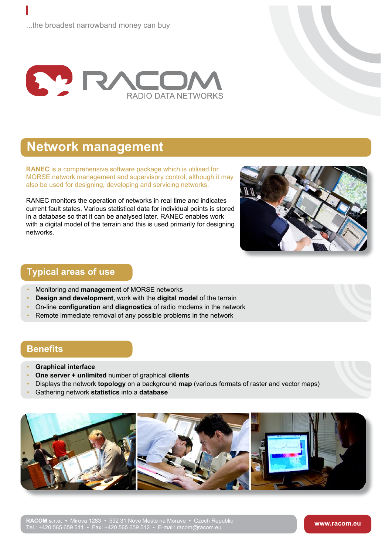

# **Network management**

**RANEC** is a comprehensive software package MORSE network management and supervisc also be used for designing, developing and so

RANEC monitors the operation of networks ir current fault states. Various statistical data for in a database so that it can be analysed later with a digital model of the terrain and this is u networks.



## **Typical areas of use**

- Monitoring and **management** of MORSE networks
- **Design and development**, work with the **digital model** of the terrain
- On-line **configuration** and **diagnostics** of radio modems in the network
- Remote immediate removal of any possible problems in the network

#### **Benefits**

- **Graphical interface**
- **One server + unlimited** number of graphical **clients**

Tel.: +420 565 659 511 • Fax: +420 565 659 512 • E-mail: racom@racom.eu

- Displays the network **topology** on a background **map** (various formats of raster and vector maps)
- Gathering network **statistics** into a **database**